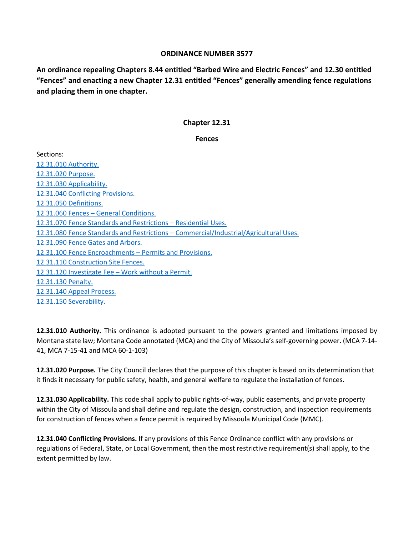## **ORDINANCE NUMBER 3577**

**An ordinance repealing Chapters 8.44 entitled "Barbed Wire and Electric Fences" and 12.30 entitled "Fences" and enacting a new Chapter 12.31 entitled "Fences" generally amending fence regulations and placing them in one chapter.**

## **Chapter 12.31**

#### **Fences**

Sections: [12.31.010 Authority.](#page-0-0) [12.31.020 Purpose.](#page-0-1) [12.31.030 Applicability.](#page-0-2) [12.31.040 Conflicting Provisions.](#page-0-3) [12.31.050 Definitions.](#page-1-0) 12.31.060 Fences – [General Conditions.](#page-1-1) [12.31.070 Fence Standards and Restrictions –](#page-3-0) Residential Uses. [12.31.080 Fence Standards and Restrictions –](#page-5-0) Commercial/Industrial/Agricultural Uses. [12.31.090 Fence Gates](#page-6-0) and Arbors. [12.31.100 Fence Encroachments –](#page-6-1) Permits and Provisions. [12.31.110 Construction Site Fences.](#page-8-0) [12.31.120 Investigate Fee –](#page-8-1) Work without a Permit. [12.31.130 Penalty.](#page-8-2) [12.31.140 Appeal Process.](#page-8-3) [12.31.150 Severability.](#page-9-0)

<span id="page-0-0"></span>**12.31.010 Authority.** This ordinance is adopted pursuant to the powers granted and limitations imposed by Montana state law; Montana Code annotated (MCA) and the City of Missoula's self-governing power. (MCA 7-14- 41, MCA 7-15-41 and MCA 60-1-103)

<span id="page-0-1"></span>**12.31.020 Purpose.** The City Council declares that the purpose of this chapter is based on its determination that it finds it necessary for public safety, health, and general welfare to regulate the installation of fences.

<span id="page-0-2"></span>**12.31.030 Applicability.** This code shall apply to public rights-of-way, public easements, and private property within the City of Missoula and shall define and regulate the design, construction, and inspection requirements for construction of fences when a fence permit is required by Missoula Municipal Code (MMC).

<span id="page-0-3"></span>**12.31.040 Conflicting Provisions.** If any provisions of this Fence Ordinance conflict with any provisions or regulations of Federal, State, or Local Government, then the most restrictive requirement(s) shall apply, to the extent permitted by law.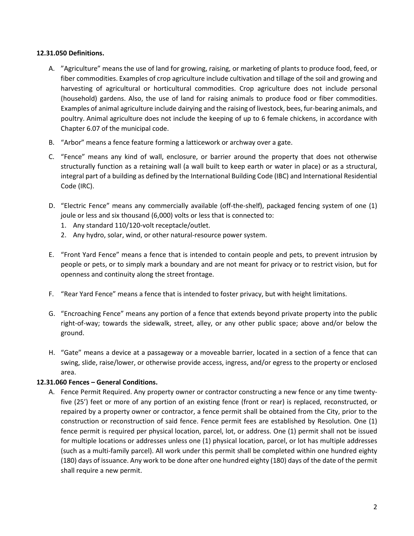### <span id="page-1-0"></span>**12.31.050 Definitions.**

- A. "Agriculture" means the use of land for growing, raising, or marketing of plants to produce food, feed, or fiber commodities. Examples of crop agriculture include cultivation and tillage of the soil and growing and harvesting of agricultural or horticultural commodities. Crop agriculture does not include personal (household) gardens. Also, the use of land for raising animals to produce food or fiber commodities. Examples of animal agriculture include dairying and the raising of livestock, bees, fur-bearing animals, and poultry. Animal agriculture does not include the keeping of up to 6 female chickens, in accordance with Chapter 6.07 of the municipal code.
- B. "Arbor" means a fence feature forming a latticework or archway over a gate.
- C. "Fence" means any kind of wall, enclosure, or barrier around the property that does not otherwise structurally function as a retaining wall (a wall built to keep earth or water in place) or as a structural, integral part of a building as defined by the International Building Code (IBC) and International Residential Code (IRC).
- D. "Electric Fence" means any commercially available (off-the-shelf), packaged fencing system of one (1) joule or less and six thousand (6,000) volts or less that is connected to:
	- 1. Any standard 110/120-volt receptacle/outlet.
	- 2. Any hydro, solar, wind, or other natural-resource power system.
- E. "Front Yard Fence" means a fence that is intended to contain people and pets, to prevent intrusion by people or pets, or to simply mark a boundary and are not meant for privacy or to restrict vision, but for openness and continuity along the street frontage.
- F. "Rear Yard Fence" means a fence that is intended to foster privacy, but with height limitations.
- G. "Encroaching Fence" means any portion of a fence that extends beyond private property into the public right-of-way; towards the sidewalk, street, alley, or any other public space; above and/or below the ground.
- H. "Gate" means a device at a passageway or a moveable barrier, located in a section of a fence that can swing, slide, raise/lower, or otherwise provide access, ingress, and/or egress to the property or enclosed area.

### <span id="page-1-1"></span>**12.31.060 Fences – General Conditions.**

A. Fence Permit Required. Any property owner or contractor constructing a new fence or any time twentyfive (25') feet or more of any portion of an existing fence (front or rear) is replaced, reconstructed, or repaired by a property owner or contractor, a fence permit shall be obtained from the City, prior to the construction or reconstruction of said fence. Fence permit fees are established by Resolution. One (1) fence permit is required per physical location, parcel, lot, or address. One (1) permit shall not be issued for multiple locations or addresses unless one (1) physical location, parcel, or lot has multiple addresses (such as a multi-family parcel). All work under this permit shall be completed within one hundred eighty (180) days of issuance. Any work to be done after one hundred eighty (180) days of the date of the permit shall require a new permit.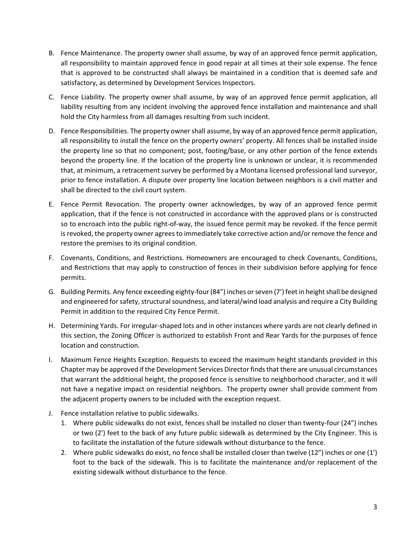- B. Fence Maintenance. The property owner shall assume, by way of an approved fence permit application, all responsibility to maintain approved fence in good repair at all times at their sole expense. The fence that is approved to be constructed shall always be maintained in a condition that is deemed safe and satisfactory, as determined by Development Services Inspectors.
- C. Fence Liability. The property owner shall assume, by way of an approved fence permit application, all liability resulting from any incident involving the approved fence installation and maintenance and shall hold the City harmless from all damages resulting from such incident.
- D. Fence Responsibilities. The property owner shall assume, by way of an approved fence permit application, all responsibility to install the fence on the property owners' property. All fences shall be installed inside the property line so that no component; post, footing/base, or any other portion of the fence extends beyond the property line. If the location of the property line is unknown or unclear, it is recommended that, at minimum, a retracement survey be performed by a Montana licensed professional land surveyor, prior to fence installation. A dispute over property line location between neighbors is a civil matter and shall be directed to the civil court system.
- E. Fence Permit Revocation. The property owner acknowledges, by way of an approved fence permit application, that if the fence is not constructed in accordance with the approved plans or is constructed so to encroach into the public right-of-way, the issued fence permit may be revoked. If the fence permit is revoked, the property owner agrees to immediately take corrective action and/or remove the fence and restore the premises to its original condition.
- F. Covenants, Conditions, and Restrictions. Homeowners are encouraged to check Covenants, Conditions, and Restrictions that may apply to construction of fences in their subdivision before applying for fence permits.
- G. Building Permits. Any fence exceeding eighty-four (84") inches or seven (7') feet in height shall be designed and engineered for safety, structural soundness, and lateral/wind load analysis and require a City Building Permit in addition to the required City Fence Permit.
- H. Determining Yards. For irregular-shaped lots and in other instances where yards are not clearly defined in this section, the Zoning Officer is authorized to establish Front and Rear Yards for the purposes of fence location and construction.
- I. Maximum Fence Heights Exception. Requests to exceed the maximum height standards provided in this Chapter may be approved if the Development Services Director finds that there are unusual circumstances that warrant the additional height, the proposed fence is sensitive to neighborhood character, and it will not have a negative impact on residential neighbors. The property owner shall provide comment from the adjacent property owners to be included with the exception request.
- J. Fence installation relative to public sidewalks.
	- 1. Where public sidewalks do not exist, fences shall be installed no closer than twenty-four (24") inches or two (2') feet to the back of any future public sidewalk as determined by the City Engineer. This is to facilitate the installation of the future sidewalk without disturbance to the fence.
	- 2. Where public sidewalks do exist, no fence shall be installed closer than twelve (12") inches or one (1') foot to the back of the sidewalk. This is to facilitate the maintenance and/or replacement of the existing sidewalk without disturbance to the fence.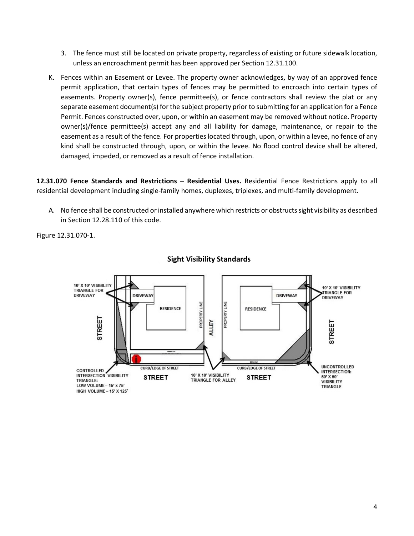- 3. The fence must still be located on private property, regardless of existing or future sidewalk location, unless an encroachment permit has been approved per Section 12.31.100.
- K. Fences within an Easement or Levee. The property owner acknowledges, by way of an approved fence permit application, that certain types of fences may be permitted to encroach into certain types of easements. Property owner(s), fence permittee(s), or fence contractors shall review the plat or any separate easement document(s) for the subject property prior to submitting for an application for a Fence Permit. Fences constructed over, upon, or within an easement may be removed without notice. Property owner(s)/fence permittee(s) accept any and all liability for damage, maintenance, or repair to the easement as a result of the fence. For properties located through, upon, or within a levee, no fence of any kind shall be constructed through, upon, or within the levee. No flood control device shall be altered, damaged, impeded, or removed as a result of fence installation.

<span id="page-3-0"></span>**12.31.070 Fence Standards and Restrictions – Residential Uses.** Residential Fence Restrictions apply to all residential development including single-family homes, duplexes, triplexes, and multi-family development.

A. No fence shall be constructed or installed anywhere which restricts or obstructs sight visibility as described in Section 12.28.110 of this code.

Figure 12.31.070-1.



### **Sight Visibility Standards**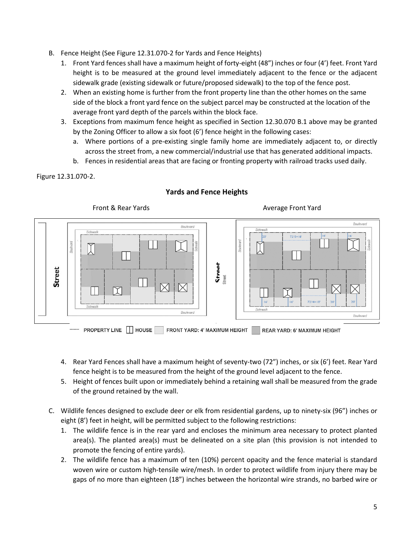- B. Fence Height (See Figure 12.31.070-2 for Yards and Fence Heights)
	- 1. Front Yard fences shall have a maximum height of forty-eight (48") inches or four (4') feet. Front Yard height is to be measured at the ground level immediately adjacent to the fence or the adjacent sidewalk grade (existing sidewalk or future/proposed sidewalk) to the top of the fence post.
	- 2. When an existing home is further from the front property line than the other homes on the same side of the block a front yard fence on the subject parcel may be constructed at the location of the average front yard depth of the parcels within the block face.
	- 3. Exceptions from maximum fence height as specified in Section 12.30.070 B.1 above may be granted by the Zoning Officer to allow a six foot (6') fence height in the following cases:
		- a. Where portions of a pre-existing single family home are immediately adjacent to, or directly across the street from, a new commercial/industrial use that has generated additional impacts.
		- b. Fences in residential areas that are facing or fronting property with railroad tracks used daily.

### Figure 12.31.070-2.



## **Yards and Fence Heights**

- 4. Rear Yard Fences shall have a maximum height of seventy-two (72") inches, or six (6') feet. Rear Yard fence height is to be measured from the height of the ground level adjacent to the fence.
- 5. Height of fences built upon or immediately behind a retaining wall shall be measured from the grade of the ground retained by the wall.
- C. Wildlife fences designed to exclude deer or elk from residential gardens, up to ninety-six (96") inches or eight (8') feet in height, will be permitted subject to the following restrictions:
	- 1. The wildlife fence is in the rear yard and encloses the minimum area necessary to protect planted area(s). The planted area(s) must be delineated on a site plan (this provision is not intended to promote the fencing of entire yards).
	- 2. The wildlife fence has a maximum of ten (10%) percent opacity and the fence material is standard woven wire or custom high-tensile wire/mesh. In order to protect wildlife from injury there may be gaps of no more than eighteen (18") inches between the horizontal wire strands, no barbed wire or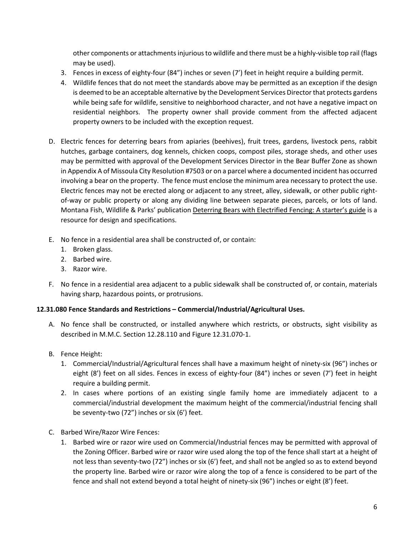other components or attachments injurious to wildlife and there must be a highly-visible top rail (flags may be used).

- 3. Fences in excess of eighty-four (84") inches or seven (7') feet in height require a building permit.
- 4. Wildlife fences that do not meet the standards above may be permitted as an exception if the design is deemed to be an acceptable alternative by the Development Services Directorthat protects gardens while being safe for wildlife, sensitive to neighborhood character, and not have a negative impact on residential neighbors. The property owner shall provide comment from the affected adjacent property owners to be included with the exception request.
- D. Electric fences for deterring bears from apiaries (beehives), fruit trees, gardens, livestock pens, rabbit hutches, garbage containers, dog kennels, chicken coops, compost piles, storage sheds, and other uses may be permitted with approval of the Development Services Director in the Bear Buffer Zone as shown in Appendix A of Missoula City Resolution #7503 or on a parcel where a documented incident has occurred involving a bear on the property. The fence must enclose the minimum area necessary to protect the use. Electric fences may not be erected along or adjacent to any street, alley, sidewalk, or other public rightof-way or public property or along any dividing line between separate pieces, parcels, or lots of land. Montana Fish, Wildlife & Parks' publication Deterring Bears with Electrified Fencing: A starter's guide is a resource for design and specifications.
- E. No fence in a residential area shall be constructed of, or contain:
	- 1. Broken glass.
	- 2. Barbed wire.
	- 3. Razor wire.
- F. No fence in a residential area adjacent to a public sidewalk shall be constructed of, or contain, materials having sharp, hazardous points, or protrusions.

# <span id="page-5-0"></span>**12.31.080 Fence Standards and Restrictions – Commercial/Industrial/Agricultural Uses.**

- A. No fence shall be constructed, or installed anywhere which restricts, or obstructs, sight visibility as described in M.M.C. Section 12.28.110 and Figure 12.31.070-1.
- B. Fence Height:
	- 1. Commercial/Industrial/Agricultural fences shall have a maximum height of ninety-six (96") inches or eight (8') feet on all sides. Fences in excess of eighty-four (84") inches or seven (7') feet in height require a building permit.
	- 2. In cases where portions of an existing single family home are immediately adjacent to a commercial/industrial development the maximum height of the commercial/industrial fencing shall be seventy-two (72") inches or six (6') feet.
- C. Barbed Wire/Razor Wire Fences:
	- 1. Barbed wire or razor wire used on Commercial/Industrial fences may be permitted with approval of the Zoning Officer. Barbed wire or razor wire used along the top of the fence shall start at a height of not less than seventy-two (72") inches or six (6') feet, and shall not be angled so as to extend beyond the property line. Barbed wire or razor wire along the top of a fence is considered to be part of the fence and shall not extend beyond a total height of ninety-six (96") inches or eight (8') feet.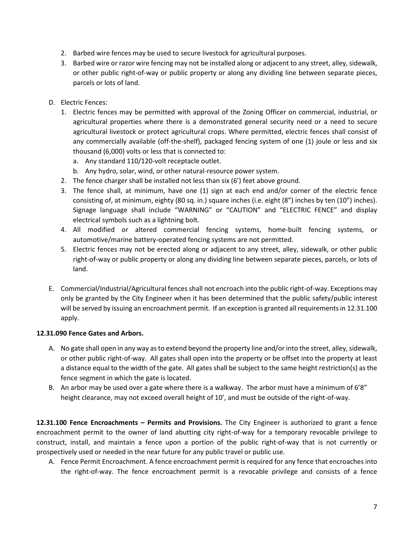- 2. Barbed wire fences may be used to secure livestock for agricultural purposes.
- 3. Barbed wire or razor wire fencing may not be installed along or adjacent to any street, alley, sidewalk, or other public right-of-way or public property or along any dividing line between separate pieces, parcels or lots of land.
- D. Electric Fences:
	- 1. Electric fences may be permitted with approval of the Zoning Officer on commercial, industrial, or agricultural properties where there is a demonstrated general security need or a need to secure agricultural livestock or protect agricultural crops. Where permitted, electric fences shall consist of any commercially available (off-the-shelf), packaged fencing system of one (1) joule or less and six thousand (6,000) volts or less that is connected to:
		- a. Any standard 110/120-volt receptacle outlet.
		- b. Any hydro, solar, wind, or other natural-resource power system.
	- 2. The fence charger shall be installed not less than six (6') feet above ground.
	- 3. The fence shall, at minimum, have one (1) sign at each end and/or corner of the electric fence consisting of, at minimum, eighty (80 sq. in.) square inches (i.e. eight (8") inches by ten (10") inches). Signage language shall include "WARNING" or "CAUTION" and "ELECTRIC FENCE" and display electrical symbols such as a lightning bolt.
	- 4. All modified or altered commercial fencing systems, home-built fencing systems, or automotive/marine battery-operated fencing systems are not permitted.
	- 5. Electric fences may not be erected along or adjacent to any street, alley, sidewalk, or other public right-of-way or public property or along any dividing line between separate pieces, parcels, or lots of land.
- E. Commercial/Industrial/Agricultural fences shall not encroach into the public right-of-way. Exceptions may only be granted by the City Engineer when it has been determined that the public safety/public interest will be served by issuing an encroachment permit. If an exception is granted all requirements in 12.31.100 apply.

# <span id="page-6-0"></span>**12.31.090 Fence Gates and Arbors.**

- A. No gate shall open in any way as to extend beyond the property line and/or into the street, alley, sidewalk, or other public right-of-way. All gates shall open into the property or be offset into the property at least a distance equal to the width of the gate. All gates shall be subject to the same height restriction(s) as the fence segment in which the gate is located.
- B. An arbor may be used over a gate where there is a walkway. The arbor must have a minimum of 6'8" height clearance, may not exceed overall height of 10', and must be outside of the right-of-way.

<span id="page-6-1"></span>**12.31.100 Fence Encroachments – Permits and Provisions.** The City Engineer is authorized to grant a fence encroachment permit to the owner of land abutting city right-of-way for a temporary revocable privilege to construct, install, and maintain a fence upon a portion of the public right-of-way that is not currently or prospectively used or needed in the near future for any public travel or public use.

A. Fence Permit Encroachment. A fence encroachment permit is required for any fence that encroaches into the right-of-way. The fence encroachment permit is a revocable privilege and consists of a fence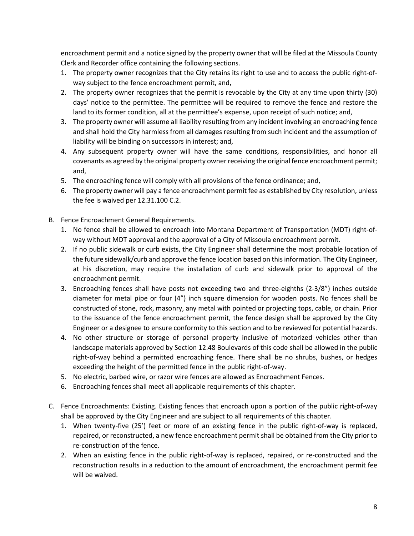encroachment permit and a notice signed by the property owner that will be filed at the Missoula County Clerk and Recorder office containing the following sections.

- 1. The property owner recognizes that the City retains its right to use and to access the public right-ofway subject to the fence encroachment permit, and,
- 2. The property owner recognizes that the permit is revocable by the City at any time upon thirty (30) days' notice to the permittee. The permittee will be required to remove the fence and restore the land to its former condition, all at the permittee's expense, upon receipt of such notice; and,
- 3. The property owner will assume all liability resulting from any incident involving an encroaching fence and shall hold the City harmless from all damages resulting from such incident and the assumption of liability will be binding on successors in interest; and,
- 4. Any subsequent property owner will have the same conditions, responsibilities, and honor all covenants as agreed by the original property owner receiving the original fence encroachment permit; and,
- 5. The encroaching fence will comply with all provisions of the fence ordinance; and,
- 6. The property owner will pay a fence encroachment permit fee as established by City resolution, unless the fee is waived per 12.31.100 C.2.
- B. Fence Encroachment General Requirements.
	- 1. No fence shall be allowed to encroach into Montana Department of Transportation (MDT) right-ofway without MDT approval and the approval of a City of Missoula encroachment permit.
	- 2. If no public sidewalk or curb exists, the City Engineer shall determine the most probable location of the future sidewalk/curb and approve the fence location based on this information. The City Engineer, at his discretion, may require the installation of curb and sidewalk prior to approval of the encroachment permit.
	- 3. Encroaching fences shall have posts not exceeding two and three-eighths (2-3/8") inches outside diameter for metal pipe or four (4") inch square dimension for wooden posts. No fences shall be constructed of stone, rock, masonry, any metal with pointed or projecting tops, cable, or chain. Prior to the issuance of the fence encroachment permit, the fence design shall be approved by the City Engineer or a designee to ensure conformity to this section and to be reviewed for potential hazards.
	- 4. No other structure or storage of personal property inclusive of motorized vehicles other than landscape materials approved by Section 12.48 Boulevards of this code shall be allowed in the public right-of-way behind a permitted encroaching fence. There shall be no shrubs, bushes, or hedges exceeding the height of the permitted fence in the public right-of-way.
	- 5. No electric, barbed wire, or razor wire fences are allowed as Encroachment Fences.
	- 6. Encroaching fences shall meet all applicable requirements of this chapter.
- C. Fence Encroachments: Existing. Existing fences that encroach upon a portion of the public right-of-way shall be approved by the City Engineer and are subject to all requirements of this chapter.
	- 1. When twenty-five (25') feet or more of an existing fence in the public right-of-way is replaced, repaired, or reconstructed, a new fence encroachment permit shall be obtained from the City prior to re-construction of the fence.
	- 2. When an existing fence in the public right-of-way is replaced, repaired, or re-constructed and the reconstruction results in a reduction to the amount of encroachment, the encroachment permit fee will be waived.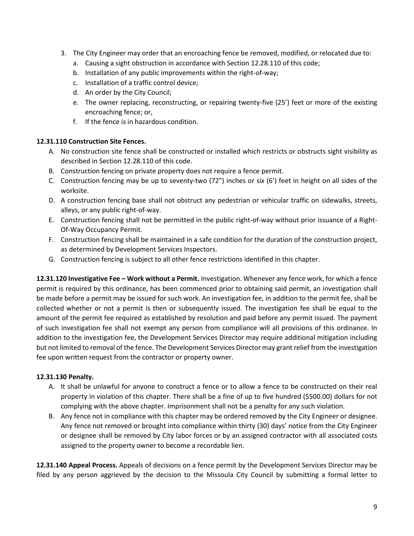- 3. The City Engineer may order that an encroaching fence be removed, modified, or relocated due to:
	- a. Causing a sight obstruction in accordance with Section 12.28.110 of this code;
	- b. Installation of any public improvements within the right-of-way;
	- c. Installation of a traffic control device;
	- d. An order by the City Council;
	- e. The owner replacing, reconstructing, or repairing twenty-five (25') feet or more of the existing encroaching fence; or,
	- f. If the fence is in hazardous condition.

# <span id="page-8-0"></span>**12.31.110 Construction Site Fences.**

- A. No construction site fence shall be constructed or installed which restricts or obstructs sight visibility as described in Section 12.28.110 of this code.
- B. Construction fencing on private property does not require a fence permit.
- C. Construction fencing may be up to seventy-two (72") inches or six (6') feet in height on all sides of the worksite.
- D. A construction fencing base shall not obstruct any pedestrian or vehicular traffic on sidewalks, streets, alleys, or any public right-of-way.
- E. Construction fencing shall not be permitted in the public right-of-way without prior issuance of a Right-Of-Way Occupancy Permit.
- F. Construction fencing shall be maintained in a safe condition for the duration of the construction project, as determined by Development Services Inspectors.
- G. Construction fencing is subject to all other fence restrictions identified in this chapter.

<span id="page-8-1"></span>**12.31.120 Investigative Fee – Work without a Permit.** Investigation. Whenever any fence work, for which a fence permit is required by this ordinance, has been commenced prior to obtaining said permit, an investigation shall be made before a permit may be issued for such work. An investigation fee, in addition to the permit fee, shall be collected whether or not a permit is then or subsequently issued. The investigation fee shall be equal to the amount of the permit fee required as established by resolution and paid before any permit issued. The payment of such investigation fee shall not exempt any person from compliance will all provisions of this ordinance. In addition to the investigation fee, the Development Services Director may require additional mitigation including but not limited to removal of the fence. The Development Services Director may grant relief from the investigation fee upon written request from the contractor or property owner.

# <span id="page-8-2"></span>**12.31.130 Penalty.**

- A. It shall be unlawful for anyone to construct a fence or to allow a fence to be constructed on their real property in violation of this chapter. There shall be a fine of up to five hundred (\$500.00) dollars for not complying with the above chapter. Imprisonment shall not be a penalty for any such violation.
- B. Any fence not in compliance with this chapter may be ordered removed by the City Engineer or designee. Any fence not removed or brought into compliance within thirty (30) days' notice from the City Engineer or designee shall be removed by City labor forces or by an assigned contractor with all associated costs assigned to the property owner to become a recordable lien.

<span id="page-8-3"></span>**12.31.140 Appeal Process.** Appeals of decisions on a fence permit by the Development Services Director may be filed by any person aggrieved by the decision to the Missoula City Council by submitting a formal letter to